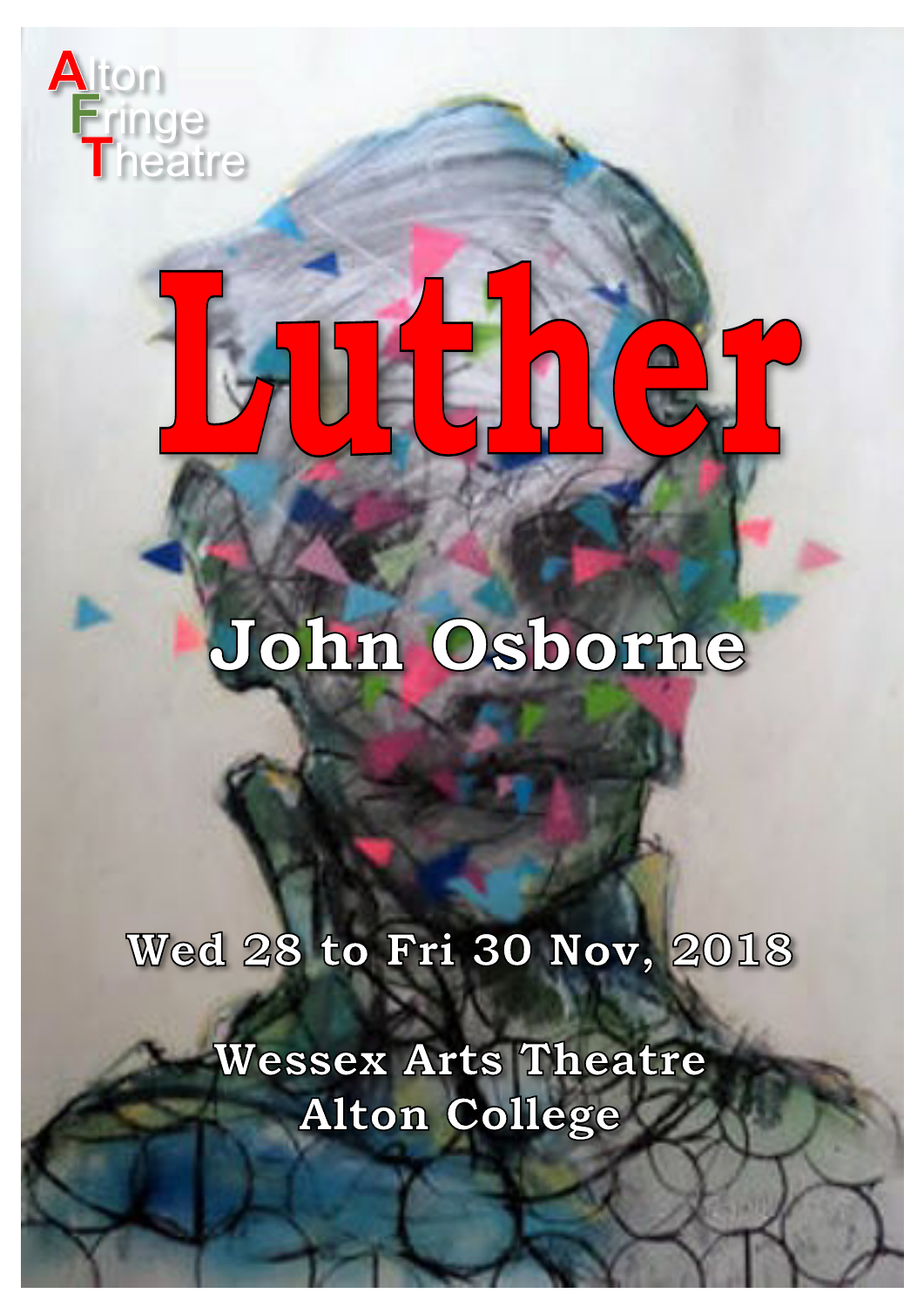

# **Luther**

### **John Osborne**

**Wed 28 to Fri 30 Nov, 2018**

**Wessex Arts Theatre Alton College**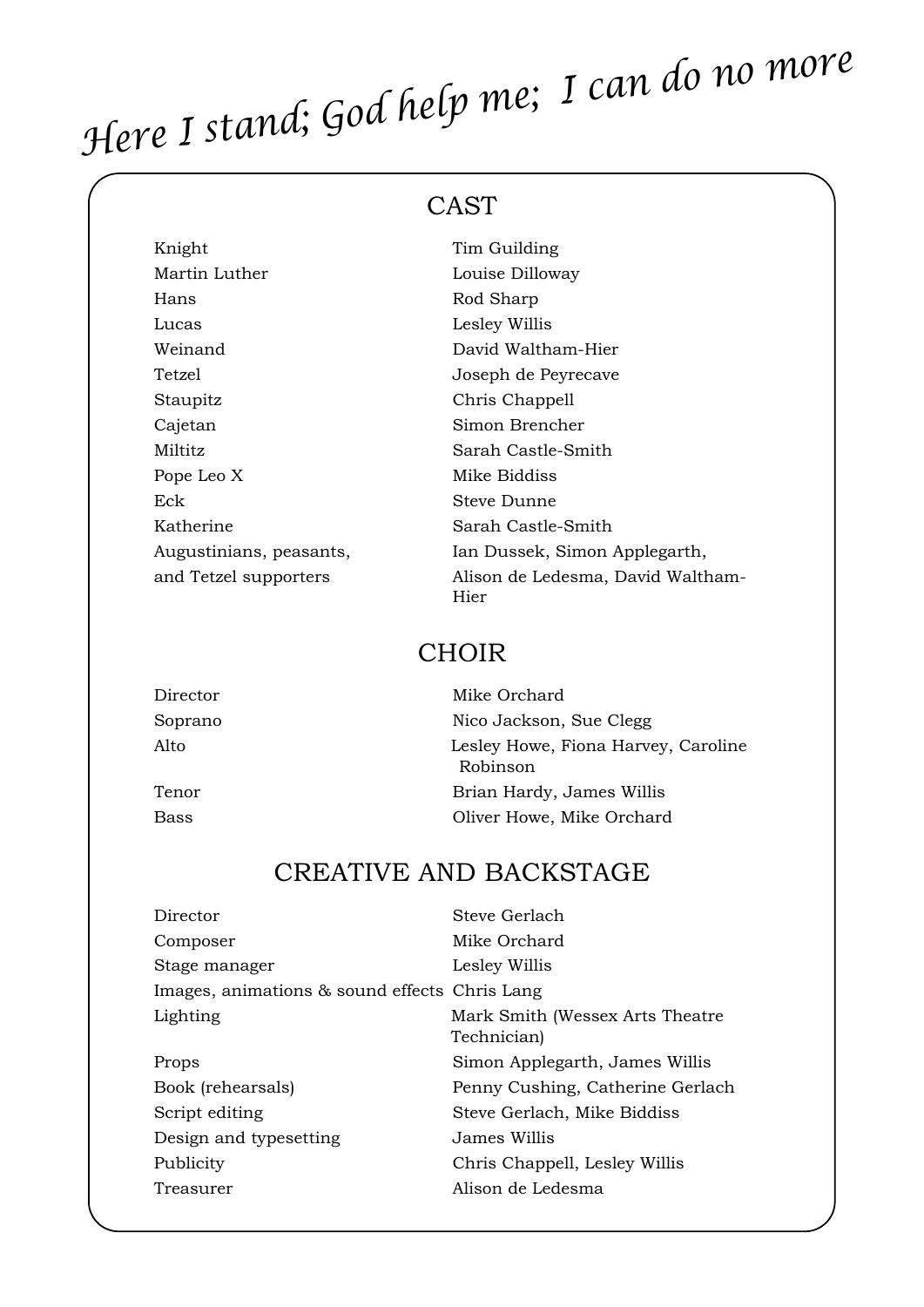## *Here I stand; God help me; I can do no more*

#### CAST

| Knight                  | Tim Guilding                              |
|-------------------------|-------------------------------------------|
| Martin Luther           | Louise Dilloway                           |
| Hans                    | Rod Sharp                                 |
| Lucas                   | Lesley Willis                             |
| Weinand                 | David Waltham-Hier                        |
| Tetzel                  | Joseph de Peyrecave                       |
| Staupitz                | Chris Chappell                            |
| Cajetan                 | Simon Brencher                            |
| Miltitz                 | Sarah Castle-Smith                        |
| Pope Leo X              | Mike Biddiss                              |
| Eck                     | Steve Dunne                               |
| Katherine               | Sarah Castle-Smith                        |
| Augustinians, peasants, | Ian Dussek, Simon Applegarth,             |
| and Tetzel supporters   | Alison de Ledesma, David Waltham-<br>Hier |

#### CHOIR

| Mike Orchard                                    |
|-------------------------------------------------|
| Nico Jackson, Sue Clegg                         |
| Lesley Howe, Fiona Harvey, Caroline<br>Robinson |
| Brian Hardy, James Willis                       |
| Oliver Howe, Mike Orchard                       |
|                                                 |

#### CREATIVE AND BACKSTAGE

| Director                                      | Steve Gerlach                                  |
|-----------------------------------------------|------------------------------------------------|
| Composer                                      | Mike Orchard                                   |
| Stage manager                                 | Lesley Willis                                  |
| Images, animations & sound effects Chris Lang |                                                |
| Lighting                                      | Mark Smith (Wessex Arts Theatre<br>Technician) |
| Props                                         | Simon Applegarth, James Willis                 |
| Book (rehearsals)                             | Penny Cushing, Catherine Gerlach               |
| Script editing                                | Steve Gerlach, Mike Biddiss                    |
| Design and typesetting                        | James Willis                                   |
| Publicity                                     | Chris Chappell, Lesley Willis                  |
| Treasurer                                     | Alison de Ledesma                              |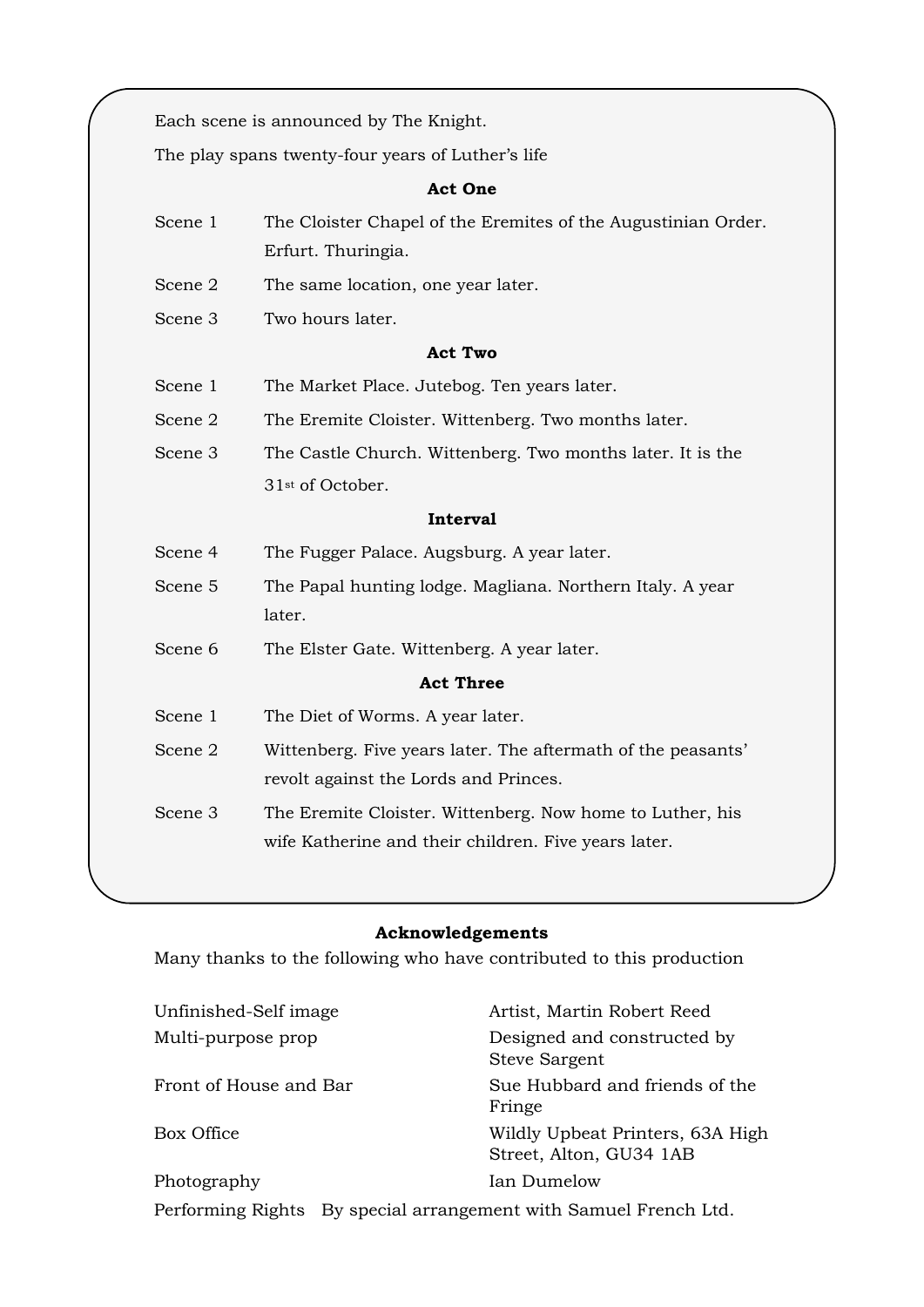Each scene is announced by The Knight.

The play spans twenty-four years of Luther's life

#### **Act One**

- Scene 1 The Cloister Chapel of the Eremites of the Augustinian Order. Erfurt. Thuringia.
- Scene 2 The same location, one year later.
- Scene 3 Two hours later.

#### **Act Two**

- Scene 1 The Market Place. Jutebog. Ten years later.
- Scene 2 The Eremite Cloister. Wittenberg. Two months later.
- Scene 3 The Castle Church. Wittenberg. Two months later. It is the 31st of October.

#### **Interval**

- Scene 4 The Fugger Palace. Augsburg. A year later.
- Scene 5 The Papal hunting lodge. Magliana. Northern Italy. A year later.
- Scene 6 The Elster Gate. Wittenberg. A year later.

#### **Act Three**

- Scene 1 The Diet of Worms. A year later.
- Scene 2 Wittenberg. Five years later. The aftermath of the peasants' revolt against the Lords and Princes.
- Scene 3 The Eremite Cloister. Wittenberg. Now home to Luther, his wife Katherine and their children. Five years later.

#### **Acknowledgements**

Many thanks to the following who have contributed to this production

| Unfinished-Self image  | Artist, Martin Robert Reed                                       |  |
|------------------------|------------------------------------------------------------------|--|
| Multi-purpose prop     | Designed and constructed by<br><b>Steve Sargent</b>              |  |
| Front of House and Bar | Sue Hubbard and friends of the<br>Fringe                         |  |
| Box Office             | Wildly Upbeat Printers, 63A High<br>Street, Alton, GU34 1AB      |  |
| Photography            | Ian Dumelow                                                      |  |
|                        | Performing Rights By special arrangement with Samuel French Ltd. |  |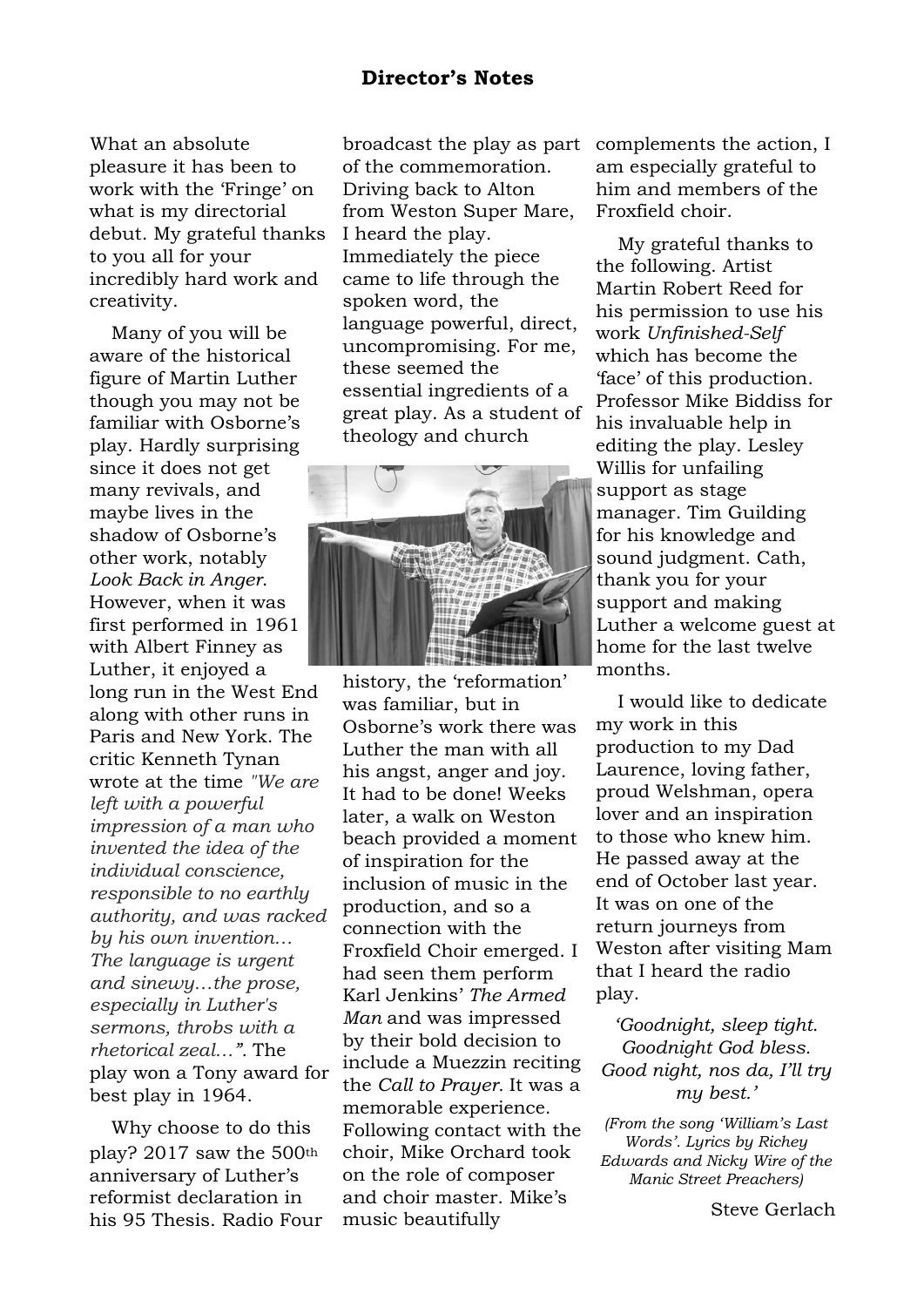What an absolute pleasure it has been to work with the 'Fringe' on what is my directorial debut. My grateful thanks to you all for your incredibly hard work and creativity.

Many of you will be aware of the historical figure of Martin Luther though you may not be familiar with Osborne's play. Hardly surprising since it does not get many revivals, and maybe lives in the shadow of Osborne's other work, notably *Look Back in Anger*. However, when it was first performed in 1961 with Albert Finney as Luther, it enjoyed a long run in the West End along with other runs in Paris and New York. The critic Kenneth Tynan wrote at the time *"We are left with a powerful impression of a man who invented the idea of the individual conscience, responsible to no earthly authority, and was racked by his own invention… The language is urgent and sinewy…the prose, especially in Luther's sermons, throbs with a rhetorical zeal…".* The play won a Tony award for best play in 1964.

Why choose to do this play? 2017 saw the 500th anniversary of Luther's reformist declaration in his 95 Thesis. Radio Four broadcast the play as part of the commemoration. Driving back to Alton from Weston Super Mare, I heard the play. Immediately the piece came to life through the spoken word, the language powerful, direct, uncompromising. For me, these seemed the essential ingredients of a great play. As a student of theology and church



history, the 'reformation' was familiar, but in Osborne's work there was Luther the man with all his angst, anger and joy. It had to be done! Weeks later, a walk on Weston beach provided a moment of inspiration for the inclusion of music in the production, and so a connection with the Froxfield Choir emerged. I had seen them perform Karl Jenkins' *The Armed Man* and was impressed by their bold decision to include a Muezzin reciting the *Call to Prayer.* It was a memorable experience. Following contact with the choir, Mike Orchard took on the role of composer and choir master. Mike's music beautifully

complements the action, I am especially grateful to him and members of the Froxfield choir.

My grateful thanks to the following. Artist Martin Robert Reed for his permission to use his work *Unfinished-Self* which has become the 'face' of this production. Professor Mike Biddiss for his invaluable help in editing the play. Lesley Willis for unfailing support as stage manager. Tim Guilding for his knowledge and sound judgment. Cath, thank you for your support and making Luther a welcome guest at home for the last twelve months.

I would like to dedicate my work in this production to my Dad Laurence, loving father, proud Welshman, opera lover and an inspiration to those who knew him. He passed away at the end of October last year. It was on one of the return journeys from Weston after visiting Mam that I heard the radio play.

*'Goodnight, sleep tight. Goodnight God bless. Good night, nos da, I'll try my best.'*

*(From the song 'William's Last Words'. Lyrics by Richey Edwards and Nicky Wire of the Manic Street Preachers)*

Steve Gerlach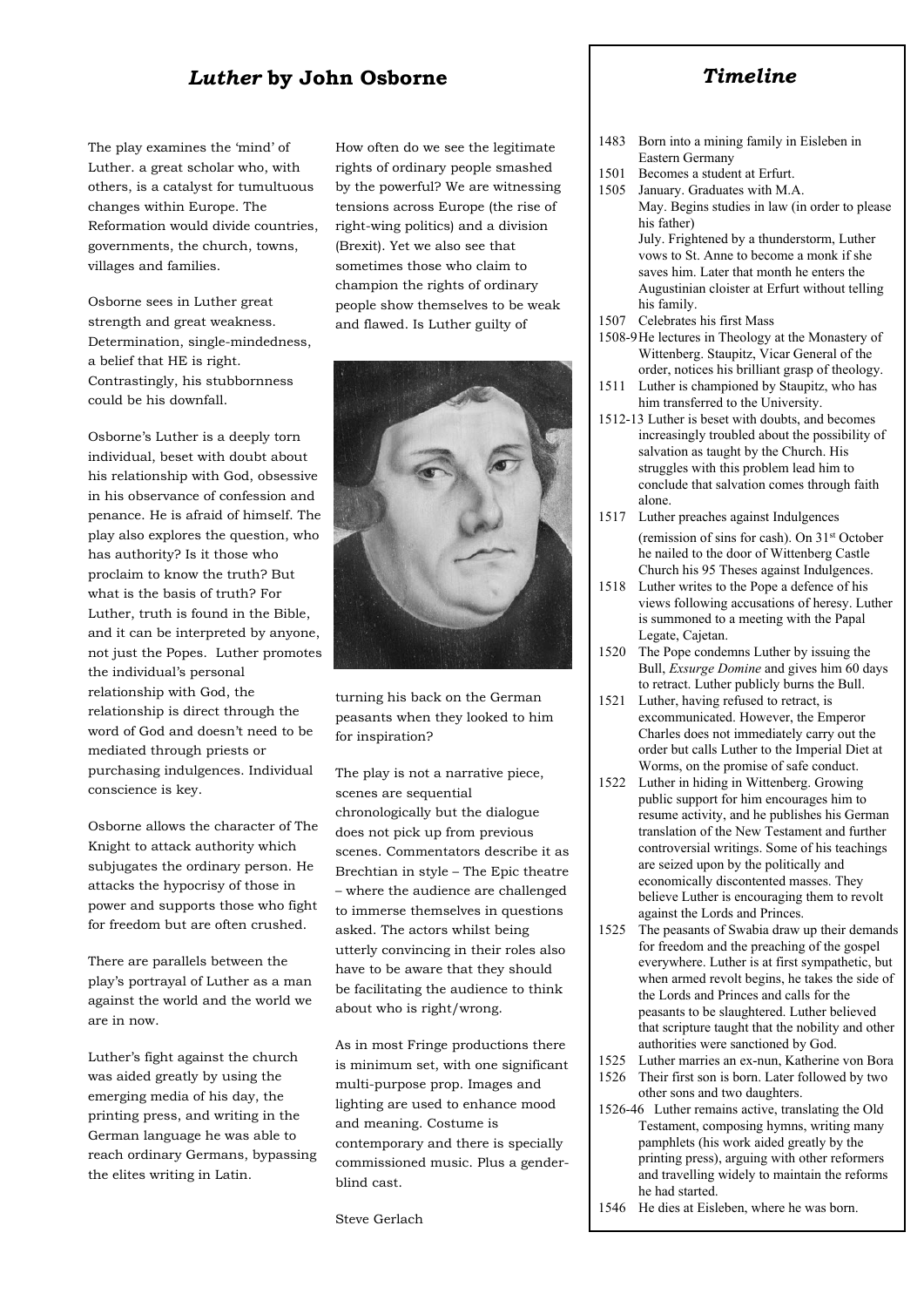#### *Luther* **by John Osborne**

The play examines the 'mind' of Luther. a great scholar who, with others, is a catalyst for tumultuous changes within Europe. The Reformation would divide countries, governments, the church, towns, villages and families.

Osborne sees in Luther great strength and great weakness. Determination, single-mindedness, a belief that HE is right. Contrastingly, his stubbornness could be his downfall.

Osborne's Luther is a deeply torn individual, beset with doubt about his relationship with God, obsessive in his observance of confession and penance. He is afraid of himself. The play also explores the question, who has authority? Is it those who proclaim to know the truth? But what is the basis of truth? For Luther, truth is found in the Bible, and it can be interpreted by anyone, not just the Popes. Luther promotes the individual's personal relationship with God, the relationship is direct through the word of God and doesn't need to be mediated through priests or purchasing indulgences. Individual conscience is key.

Osborne allows the character of The Knight to attack authority which subjugates the ordinary person. He attacks the hypocrisy of those in power and supports those who fight for freedom but are often crushed.

There are parallels between the play's portrayal of Luther as a man against the world and the world we are in now.

Luther's fight against the church was aided greatly by using the emerging media of his day, the printing press, and writing in the German language he was able to reach ordinary Germans, bypassing the elites writing in Latin.

How often do we see the legitimate rights of ordinary people smashed by the powerful? We are witnessing tensions across Europe (the rise of right-wing politics) and a division (Brexit). Yet we also see that sometimes those who claim to champion the rights of ordinary people show themselves to be weak and flawed. Is Luther guilty of



turning his back on the German peasants when they looked to him for inspiration?

The play is not a narrative piece, scenes are sequential chronologically but the dialogue does not pick up from previous scenes. Commentators describe it as Brechtian in style – The Epic theatre – where the audience are challenged to immerse themselves in questions asked. The actors whilst being utterly convincing in their roles also have to be aware that they should be facilitating the audience to think about who is right/wrong.

As in most Fringe productions there is minimum set, with one significant multi-purpose prop. Images and lighting are used to enhance mood and meaning. Costume is contemporary and there is specially commissioned music. Plus a genderblind cast.

Steve Gerlach

#### *Timeline*

- 1483 Born into a mining family in Eisleben in Eastern Germany
- 1501 Becomes a student at Erfurt.
- 1505 January. Graduates with M.A. May. Begins studies in law (in order to please his father) July. Frightened by a thunderstorm, Luther vows to St. Anne to become a monk if she saves him. Later that month he enters the Augustinian cloister at Erfurt without telling his family.
- 1507 Celebrates his first Mass
- 1508-9 He lectures in Theology at the Monastery of Wittenberg. Staupitz, Vicar General of the order, notices his brilliant grasp of theology.
- 1511 Luther is championed by Staupitz, who has him transferred to the University.
- 1512-13 Luther is beset with doubts, and becomes increasingly troubled about the possibility of salvation as taught by the Church. His struggles with this problem lead him to conclude that salvation comes through faith alone.
- 1517 Luther preaches against Indulgences (remission of sins for cash). On 31st October he nailed to the door of Wittenberg Castle Church his 95 Theses against Indulgences.
- 1518 Luther writes to the Pope a defence of his views following accusations of heresy. Luther is summoned to a meeting with the Papal Legate, Cajetan.
- 1520 The Pope condemns Luther by issuing the Bull, *Exsurge Domine* and gives him 60 days to retract. Luther publicly burns the Bull.
- 1521 Luther, having refused to retract, is excommunicated. However, the Emperor Charles does not immediately carry out the order but calls Luther to the Imperial Diet at Worms, on the promise of safe conduct.
- 1522 Luther in hiding in Wittenberg. Growing public support for him encourages him to resume activity, and he publishes his German translation of the New Testament and further controversial writings. Some of his teachings are seized upon by the politically and economically discontented masses. They believe Luther is encouraging them to revolt against the Lords and Princes.
- 1525 The peasants of Swabia draw up their demands for freedom and the preaching of the gospel everywhere. Luther is at first sympathetic, but when armed revolt begins, he takes the side of the Lords and Princes and calls for the peasants to be slaughtered. Luther believed that scripture taught that the nobility and other authorities were sanctioned by God.
- 1525 Luther marries an ex-nun, Katherine von Bora
- 1526 Their first son is born. Later followed by two other sons and two daughters.
- 1526-46 Luther remains active, translating the Old Testament, composing hymns, writing many pamphlets (his work aided greatly by the printing press), arguing with other reformers and travelling widely to maintain the reforms he had started.
- 1546 He dies at Eisleben, where he was born.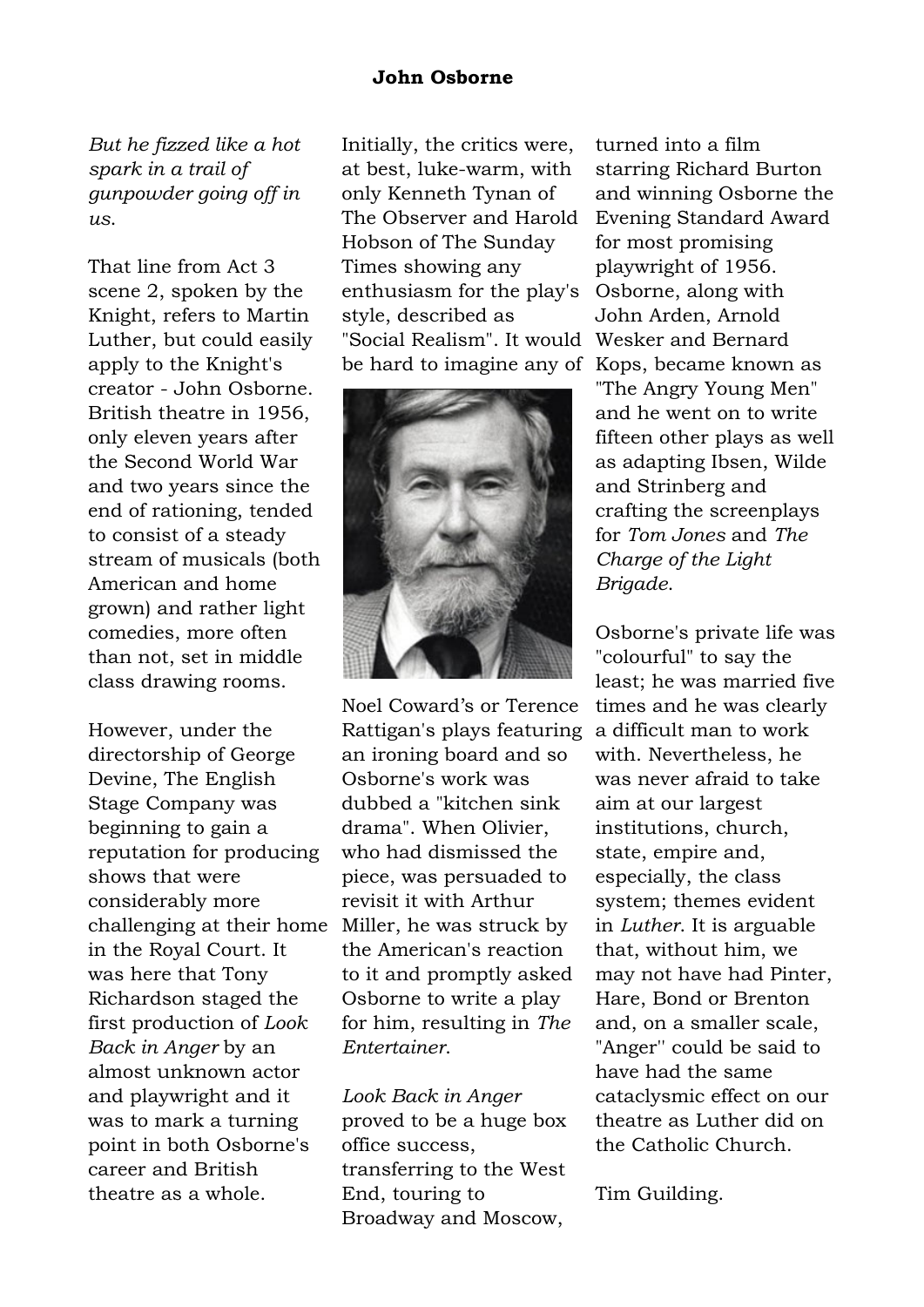#### **John Osborne**

*But he fizzed like a hot spark in a trail of gunpowder going off in us*.

That line from Act 3 scene 2, spoken by the Knight, refers to Martin Luther, but could easily apply to the Knight's creator - John Osborne. British theatre in 1956, only eleven years after the Second World War and two years since the end of rationing, tended to consist of a steady stream of musicals (both American and home grown) and rather light comedies, more often than not, set in middle class drawing rooms.

However, under the directorship of George Devine, The English Stage Company was beginning to gain a reputation for producing shows that were considerably more challenging at their home in the Royal Court. It was here that Tony Richardson staged the first production of *Look Back in Anger* by an almost unknown actor and playwright and it was to mark a turning point in both Osborne's career and British theatre as a whole.

Initially, the critics were, at best, luke-warm, with only Kenneth Tynan of The Observer and Harold Hobson of The Sunday Times showing any enthusiasm for the play's style, described as "Social Realism". It would Wesker and Bernard be hard to imagine any of Kops, became known as



Noel Coward's or Terence Rattigan's plays featuring an ironing board and so Osborne's work was dubbed a "kitchen sink drama". When Olivier, who had dismissed the piece, was persuaded to revisit it with Arthur Miller, he was struck by the American's reaction to it and promptly asked Osborne to write a play for him, resulting in *The Entertainer*.

*Look Back in Anger* proved to be a huge box office success, transferring to the West End, touring to Broadway and Moscow,

turned into a film starring Richard Burton and winning Osborne the Evening Standard Award for most promising playwright of 1956. Osborne, along with John Arden, Arnold "The Angry Young Men" and he went on to write fifteen other plays as well as adapting Ibsen, Wilde and Strinberg and crafting the screenplays for *Tom Jones* and *The Charge of the Light Brigade*.

Osborne's private life was "colourful" to say the least; he was married five times and he was clearly a difficult man to work with. Nevertheless, he was never afraid to take aim at our largest institutions, church, state, empire and, especially, the class system; themes evident in *Luther*. It is arguable that, without him, we may not have had Pinter, Hare, Bond or Brenton and, on a smaller scale, "Anger'' could be said to have had the same cataclysmic effect on our theatre as Luther did on the Catholic Church.

Tim Guilding.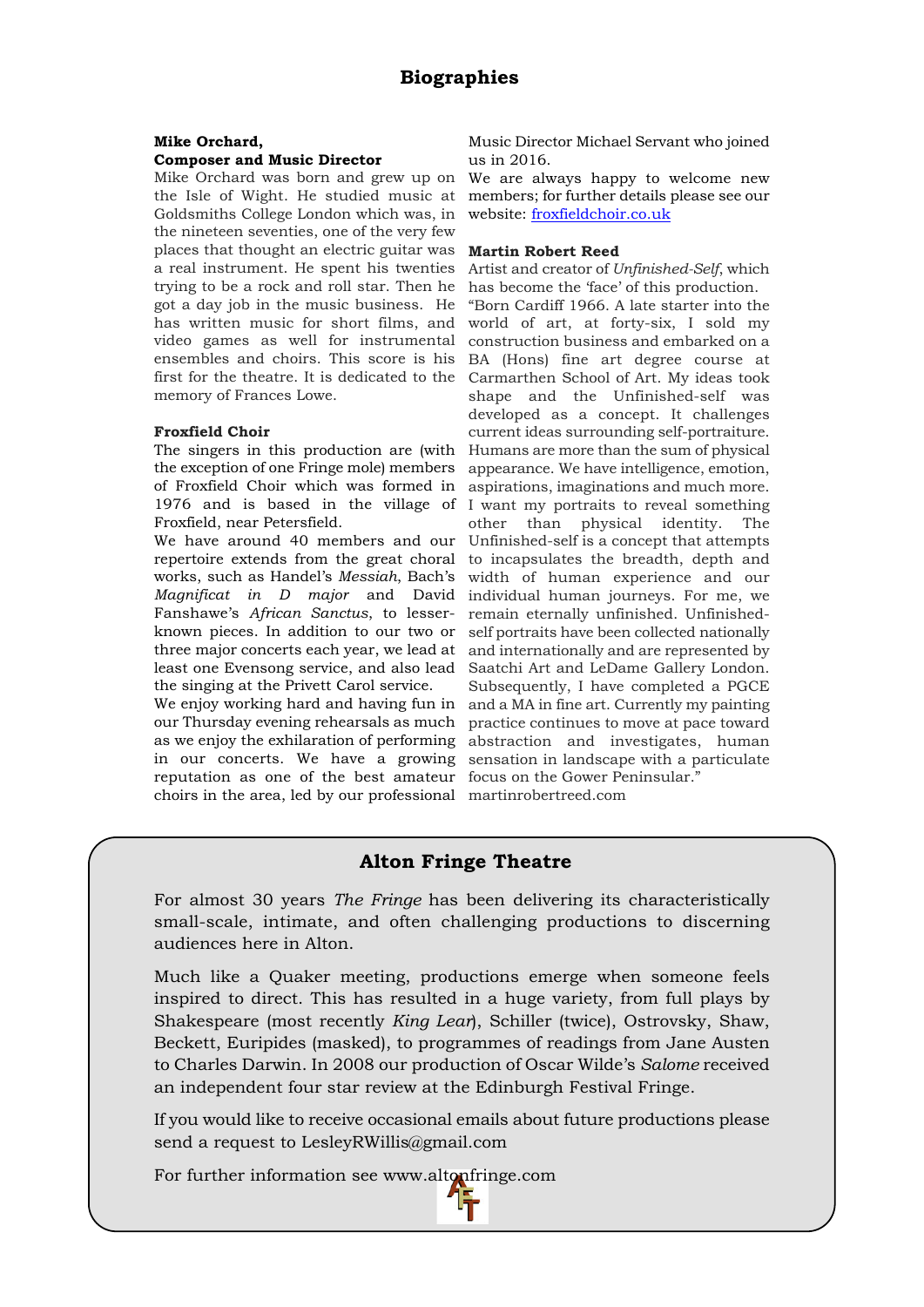#### **Mike Orchard,**

#### **Composer and Music Director**

Mike Orchard was born and grew up on the Isle of Wight. He studied music at Goldsmiths College London which was, in the nineteen seventies, one of the very few places that thought an electric guitar was a real instrument. He spent his twenties trying to be a rock and roll star. Then he got a day job in the music business. He has written music for short films, and video games as well for instrumental ensembles and choirs. This score is his first for the theatre. It is dedicated to the memory of Frances Lowe.

#### **Froxfield Choir**

The singers in this production are (with the exception of one Fringe mole) members of Froxfield Choir which was formed in 1976 and is based in the village of Froxfield, near Petersfield.

We have around 40 members and our repertoire extends from the great choral works, such as Handel's *Messiah*, Bach's *Magnificat in D major* and David Fanshawe's *African Sanctus*, to lesserknown pieces. In addition to our two or three major concerts each year, we lead at least one Evensong service, and also lead the singing at the Privett Carol service.

We enjoy working hard and having fun in and a MA in fine art. Currently my painting our Thursday evening rehearsals as much as we enjoy the exhilaration of performing in our concerts. We have a growing sensation in landscape with a particulate reputation as one of the best amateur focus on the Gower Peninsular." choirs in the area, led by our professional martinrobertreed.com

Music Director Michael Servant who joined us in 2016.

We are always happy to welcome new members; for further details please see our website: [froxfieldchoir.co.uk](http://froxfieldchoir.co.uk/)

#### **Martin Robert Reed**

Artist and creator of *Unfinished-Self*, which has become the 'face' of this production.

"Born Cardiff 1966. A late starter into the world of art, at forty-six, I sold my construction business and embarked on a BA (Hons) fine art degree course at Carmarthen School of Art. My ideas took shape and the Unfinished-self was developed as a concept. It challenges current ideas surrounding self-portraiture. Humans are more than the sum of physical appearance. We have intelligence, emotion, aspirations, imaginations and much more. I want my portraits to reveal something other than physical identity. The Unfinished-self is a concept that attempts to incapsulates the breadth, depth and width of human experience and our individual human journeys. For me, we remain eternally unfinished. Unfinishedself portraits have been collected nationally and internationally and are represented by Saatchi Art and LeDame Gallery London. Subsequently, I have completed a PGCE practice continues to move at pace toward abstraction and investigates, human

#### **Alton Fringe Theatre**

For almost 30 years *The Fringe* has been delivering its characteristically small-scale, intimate, and often challenging productions to discerning audiences here in Alton.

Much like a Quaker meeting, productions emerge when someone feels inspired to direct. This has resulted in a huge variety, from full plays by Shakespeare (most recently *King Lear*), Schiller (twice), Ostrovsky, Shaw, Beckett, Euripides (masked), to programmes of readings from Jane Austen to Charles Darwin. In 2008 our production of Oscar Wilde's *Salome* received an independent four star review at the Edinburgh Festival Fringe.

If you would like to receive occasional emails about future productions please send a request to LesleyRWillis@gmail.com

For further information see www.altonfringe.com